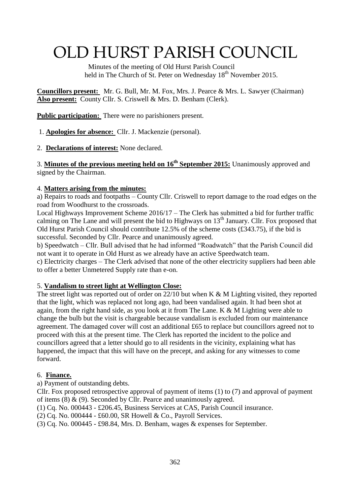# OLD HURST PARISH COUNCIL

 Minutes of the meeting of Old Hurst Parish Council held in The Church of St. Peter on Wednesday 18<sup>th</sup> November 2015.

**Councillors present:** Mr. G. Bull, Mr. M. Fox, Mrs. J. Pearce & Mrs. L. Sawyer (Chairman) **Also present:** County Cllr. S. Criswell & Mrs. D. Benham (Clerk).

**Public participation:** There were no parishioners present.

1. **Apologies for absence:** Cllr. J. Mackenzie (personal).

2. **Declarations of interest:** None declared.

3. **Minutes of the previous meeting held on 16 th September 2015:** Unanimously approved and signed by the Chairman.

### 4. **Matters arising from the minutes:**

a) Repairs to roads and footpaths – County Cllr. Criswell to report damage to the road edges on the road from Woodhurst to the crossroads.

Local Highways Improvement Scheme 2016/17 – The Clerk has submitted a bid for further traffic calming on The Lane and will present the bid to Highways on 13<sup>th</sup> January. Cllr. Fox proposed that Old Hurst Parish Council should contribute 12.5% of the scheme costs (£343.75), if the bid is successful. Seconded by Cllr. Pearce and unanimously agreed.

b) Speedwatch – Cllr. Bull advised that he had informed "Roadwatch" that the Parish Council did not want it to operate in Old Hurst as we already have an active Speedwatch team.

c) Electricity charges – The Clerk advised that none of the other electricity suppliers had been able to offer a better Unmetered Supply rate than e-on.

### 5. **Vandalism to street light at Wellington Close:**

The street light was reported out of order on  $22/10$  but when K & M Lighting visited, they reported that the light, which was replaced not long ago, had been vandalised again. It had been shot at again, from the right hand side, as you look at it from The Lane.  $K \& M$  Lighting were able to change the bulb but the visit is chargeable because vandalism is excluded from our maintenance agreement. The damaged cover will cost an additional £65 to replace but councillors agreed not to proceed with this at the present time. The Clerk has reported the incident to the police and councillors agreed that a letter should go to all residents in the vicinity, explaining what has happened, the impact that this will have on the precept, and asking for any witnesses to come forward.

### 6. **Finance.**

a) Payment of outstanding debts.

Cllr. Fox proposed retrospective approval of payment of items (1) to (7) and approval of payment of items (8) & (9). Seconded by Cllr. Pearce and unanimously agreed.

(1) Cq. No. 000443 - £206.45, Business Services at CAS, Parish Council insurance.

(2) Cq. No. 000444 - £60.00, SR Howell & Co., Payroll Services.

(3) Cq. No. 000445 - £98.84, Mrs. D. Benham, wages & expenses for September.